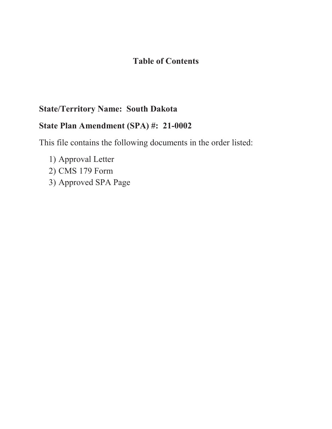## **Table of Contents**

# **State/Territory Name: South Dakota**

## **State Plan Amendment (SPA) #: 21-0002**

This file contains the following documents in the order listed:

1) Approval Letter 2) CMS 179 Form 3) Approved SPA Page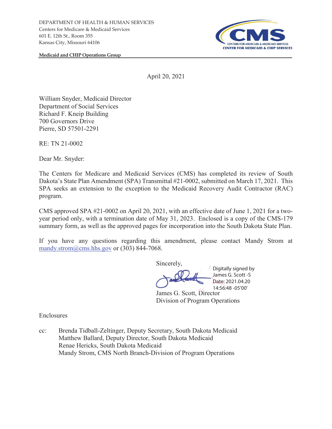

**Medicaid and CHIP Operations Group** 

April 20, 2021

William Snyder, Medicaid Director Department of Social Services Richard F. Kneip Building 700 Governors Drive Pierre, SD 57501-2291

RE: TN 21-0002

Dear Mr. Snyder:

The Centers for Medicare and Medicaid Services (CMS) has completed its review of South Dakota's State Plan Amendment (SPA) Transmittal #21-0002, submitted on March 17, 2021. This SPA seeks an extension to the exception to the Medicaid Recovery Audit Contractor (RAC) program.

CMS approved SPA #21-0002 on April 20, 2021, with an effective date of June 1, 2021 for a twoyear period only, with a termination date of May 31, 2023.Enclosed is a copy of the CMS-179 summary form, as well as the approved pages for incorporation into the South Dakota State Plan.

If you have any questions regarding this amendment, please contact Mandy Strom at mandy.strom $@cms.hhs.gov$  or (303) 844-7068.

Sincerely, James G. Scott, Director Division of Program Operations Digitally signed by James G. Scott -S Date: 2021.04.20 14:56:48 -05'00'

Enclosures

cc: Brenda Tidball-Zeltinger, Deputy Secretary, South Dakota Medicaid Matthew Ballard, Deputy Director, South Dakota Medicaid Renae Hericks, South Dakota Medicaid Mandy Strom, CMS North Branch-Division of Program Operations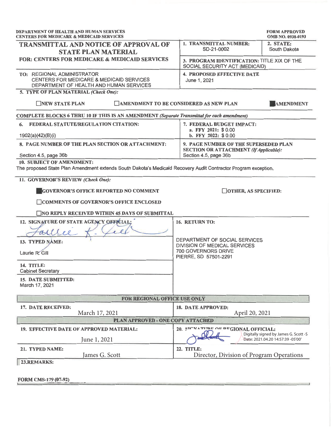| DEPARTMENT OF HEALTH AND HUMAN SERVICES<br><b>CENTERS FOR MEDICARE &amp; MEDICAID SERVICES</b>                    |                                                                                                                 | <b>FORM APPROVED</b><br><b>OMB NO. 0938-0193</b>                           |
|-------------------------------------------------------------------------------------------------------------------|-----------------------------------------------------------------------------------------------------------------|----------------------------------------------------------------------------|
| <b>TRANSMITTAL AND NOTICE OF APPROVAL OF</b><br><b>STATE PLAN MATERIAL</b>                                        | 1. TRANSMITTAL NUMBER:<br>SD-21-0002                                                                            | 2. STATE:<br>South Dakota                                                  |
| FOR: CENTERS FOR MEDICARE & MEDICAID SERVICES                                                                     | 3. PROGRAM IDENTIFICATION: TITLE XIX OF THE<br>SOCIAL SECURITY ACT (MEDICAID)                                   |                                                                            |
| TO: REGIONAL ADMINISTRATOR<br>CENTERS FOR MEDICARE & MEDICAID SERVICES<br>DEPARTMENT OF HEALTH AND HUMAN SERVICES | <b>4. PROPOSED EFFECTIVE DATE</b><br>June 1, 2021                                                               |                                                                            |
| 5. TYPE OF PLAN MATERIAL (Check One):                                                                             |                                                                                                                 |                                                                            |
| NEW STATE PLAN                                                                                                    | <b>CAMENDMENT TO BE CONSIDERED AS NEW PLAN</b>                                                                  | AMENDMENT                                                                  |
| COMPLETE BLOCKS 6 THRU 10 IF THIS IS AN AMENDMENT (Separate Transmittal for each amendment)                       |                                                                                                                 |                                                                            |
| 6. FEDERAL STATUTE/REGULATION CITATION:                                                                           | 7. FEDERAL BUDGET IMPACT:<br>a. FFY 2021: \$0.00<br>b. FFY 2022: \$0.00                                         |                                                                            |
| 1902(a)(42)(B)(i)                                                                                                 |                                                                                                                 |                                                                            |
| 8. PAGE NUMBER OF THE PLAN SECTION OR ATTACHMENT:<br>Section 4.5, page 36b                                        | 9. PAGE NUMBER OF THE SUPERSEDED PLAN<br><b>SECTION OR ATTACHMENT (If Applicable):</b><br>Section 4.5, page 36b |                                                                            |
| <b>10. SUBJECT OF AMENDMENT:</b>                                                                                  |                                                                                                                 |                                                                            |
| The proposed State Plan Amendment extends South Dakota's Medicaid Recovery Audit Contractor Program exception.    |                                                                                                                 |                                                                            |
| 11. GOVERNOR'S REVIEW (Check One):                                                                                |                                                                                                                 |                                                                            |
| <b>GOVERNOR'S OFFICE REPORTED NO COMMENT</b>                                                                      | $\Box$ OTHER, AS SPECIFIED:                                                                                     |                                                                            |
| <b>COMMENTS OF GOVERNOR'S OFFICE ENCLOSED</b>                                                                     |                                                                                                                 |                                                                            |
| $\Box$ NO REPLY RECEIVED WITHIN 45 DAYS OF SUBMITTAL                                                              |                                                                                                                 |                                                                            |
| 12. SIGNATURE OF STATE AGENCY OFFICIAL;                                                                           | 16. RETURN TO:                                                                                                  |                                                                            |
| allee                                                                                                             | DEPARTMENT OF SOCIAL SERVICES<br>DIVISION OF MEDICAL SERVICES<br>700 GOVERNORS DRIVE<br>PIERRE, SD 57501-2291   |                                                                            |
| 13. TYPED NAME:                                                                                                   |                                                                                                                 |                                                                            |
| Laurie R. Gill                                                                                                    |                                                                                                                 |                                                                            |
| <b>14. TITLE:</b><br><b>Cabinet Secretary</b>                                                                     |                                                                                                                 |                                                                            |
| <b>15. DATE SUBMITTED:</b><br>March 17, 2021                                                                      |                                                                                                                 |                                                                            |
| FOR REGIONAL OFFICE USE ONLY                                                                                      |                                                                                                                 |                                                                            |
| 17. DATE RECEIVED:                                                                                                | 18. DATE APPROVED:                                                                                              |                                                                            |
| March 17, 2021                                                                                                    | April 20, 2021                                                                                                  |                                                                            |
| PLAN APPROVED - ONE COPY ATTACHED                                                                                 |                                                                                                                 |                                                                            |
| 19. EFFECTIVE DATE OF APPROVED MATERIAL:<br>June 1, 2021                                                          | 20. SIGNATIEF OF EFGIONAL OFFICIAL:                                                                             | Digitally signed by James G. Scott -S<br>Date: 2021.04.20 14:57:39 -05'00' |
| 21. TYPED NAME:<br>James G. Scott                                                                                 | 22. TITLE:<br>Director, Division of Program Operations                                                          |                                                                            |
| 23.REMARKS:                                                                                                       |                                                                                                                 |                                                                            |
|                                                                                                                   |                                                                                                                 |                                                                            |
| FORM CMS-179 (07-92)                                                                                              |                                                                                                                 |                                                                            |
|                                                                                                                   |                                                                                                                 |                                                                            |